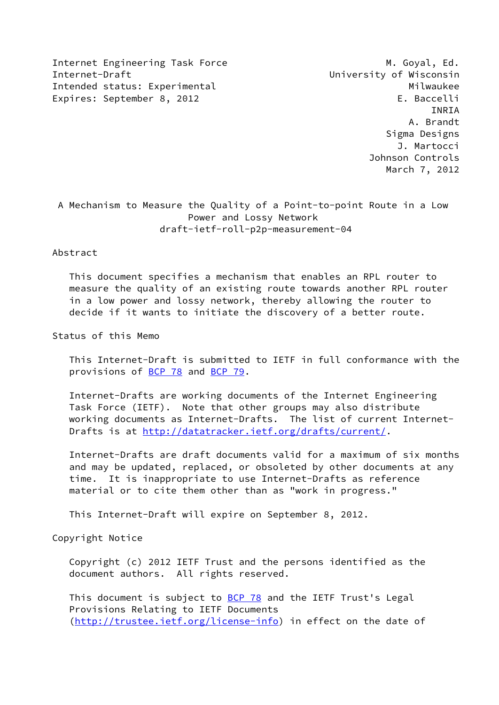Internet Engineering Task Force M. Goyal, Ed. Internet-Draft University of Wisconsin Intended status: Experimental Milwaukee Expires: September 8, 2012 Case and the Contract E. Baccelli

 INRIA A. Brandt Sigma Designs J. Martocci Johnson Controls March 7, 2012

 A Mechanism to Measure the Quality of a Point-to-point Route in a Low Power and Lossy Network draft-ietf-roll-p2p-measurement-04

### Abstract

 This document specifies a mechanism that enables an RPL router to measure the quality of an existing route towards another RPL router in a low power and lossy network, thereby allowing the router to decide if it wants to initiate the discovery of a better route.

Status of this Memo

 This Internet-Draft is submitted to IETF in full conformance with the provisions of [BCP 78](https://datatracker.ietf.org/doc/pdf/bcp78) and [BCP 79](https://datatracker.ietf.org/doc/pdf/bcp79).

 Internet-Drafts are working documents of the Internet Engineering Task Force (IETF). Note that other groups may also distribute working documents as Internet-Drafts. The list of current Internet- Drafts is at<http://datatracker.ietf.org/drafts/current/>.

 Internet-Drafts are draft documents valid for a maximum of six months and may be updated, replaced, or obsoleted by other documents at any time. It is inappropriate to use Internet-Drafts as reference material or to cite them other than as "work in progress."

This Internet-Draft will expire on September 8, 2012.

Copyright Notice

 Copyright (c) 2012 IETF Trust and the persons identified as the document authors. All rights reserved.

This document is subject to **[BCP 78](https://datatracker.ietf.org/doc/pdf/bcp78)** and the IETF Trust's Legal Provisions Relating to IETF Documents [\(http://trustee.ietf.org/license-info](http://trustee.ietf.org/license-info)) in effect on the date of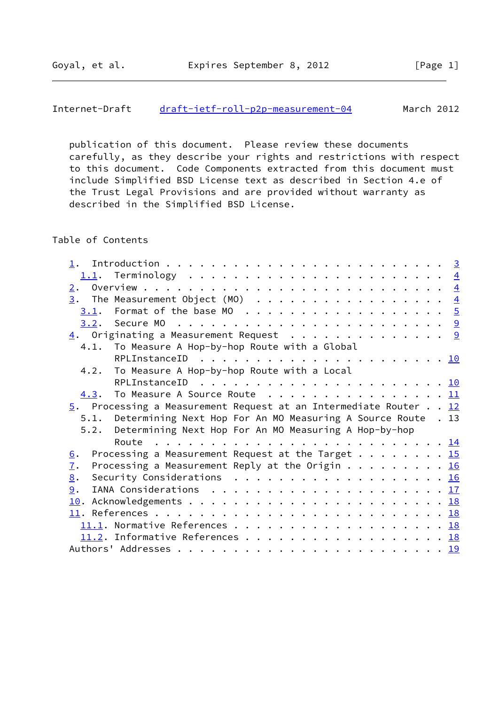publication of this document. Please review these documents carefully, as they describe your rights and restrictions with respect to this document. Code Components extracted from this document must include Simplified BSD License text as described in Section 4.e of the Trust Legal Provisions and are provided without warranty as described in the Simplified BSD License.

# Table of Contents

| 1.                                                                                            |  |
|-----------------------------------------------------------------------------------------------|--|
|                                                                                               |  |
| 2.                                                                                            |  |
| $\underline{3}$ . The Measurement Object (MO) 4                                               |  |
|                                                                                               |  |
|                                                                                               |  |
| $\underline{4}$ . Originating a Measurement Request 9                                         |  |
| 4.1. To Measure A Hop-by-hop Route with a Global                                              |  |
|                                                                                               |  |
| 4.2. To Measure A Hop-by-hop Route with a Local                                               |  |
|                                                                                               |  |
| $4.3.$ To Measure A Source Route $\cdots$ 11                                                  |  |
| $\overline{5}$ . Processing a Measurement Request at an Intermediate Router 12                |  |
| 5.1. Determining Next Hop For An MO Measuring A Source Route . 13                             |  |
| Determining Next Hop For An MO Measuring A Hop-by-hop<br>5.2.                                 |  |
|                                                                                               |  |
|                                                                                               |  |
| 6.                                                                                            |  |
| Processing a Measurement Request at the Target 15<br>7.                                       |  |
| Processing a Measurement Reply at the Origin 16<br>8.                                         |  |
| Security Considerations $\ldots \ldots \ldots \ldots \ldots \ldots \ldots \frac{16}{2}$<br>9. |  |
| IANA Considerations $\ldots \ldots \ldots \ldots \ldots \ldots \ldots \ldots \frac{17}{17}$   |  |
|                                                                                               |  |
|                                                                                               |  |
|                                                                                               |  |
| 11.2. Informative References 18                                                               |  |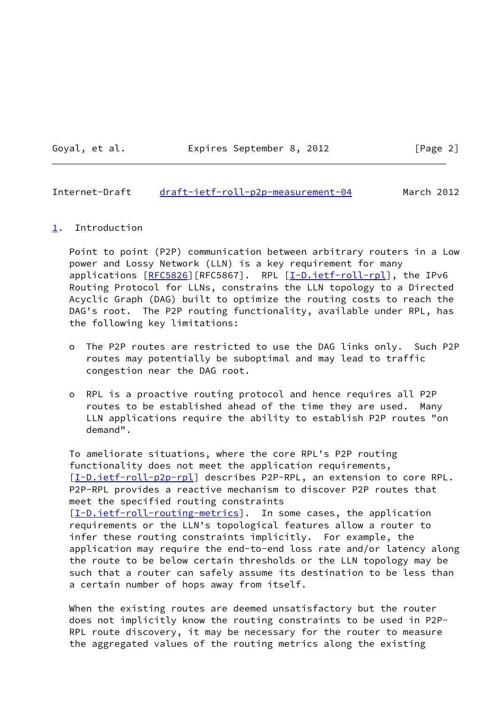Goyal, et al. Expires September 8, 2012 [Page 2]

<span id="page-2-1"></span>Internet-Draft [draft-ietf-roll-p2p-measurement-04](https://datatracker.ietf.org/doc/pdf/draft-ietf-roll-p2p-measurement-04) March 2012

### <span id="page-2-0"></span>[1](#page-2-0). Introduction

 Point to point (P2P) communication between arbitrary routers in a Low power and Lossy Network (LLN) is a key requirement for many applications [\[RFC5826](https://datatracker.ietf.org/doc/pdf/rfc5826)][RFC5867]. RPL [[I-D.ietf-roll-rpl\]](#page-19-5), the IPv6 Routing Protocol for LLNs, constrains the LLN topology to a Directed Acyclic Graph (DAG) built to optimize the routing costs to reach the DAG's root. The P2P routing functionality, available under RPL, has the following key limitations:

- o The P2P routes are restricted to use the DAG links only. Such P2P routes may potentially be suboptimal and may lead to traffic congestion near the DAG root.
- o RPL is a proactive routing protocol and hence requires all P2P routes to be established ahead of the time they are used. Many LLN applications require the ability to establish P2P routes "on demand".

 To ameliorate situations, where the core RPL's P2P routing functionality does not meet the application requirements, [\[I-D.ietf-roll-p2p-rpl](#page-19-6)] describes P2P-RPL, an extension to core RPL. P2P-RPL provides a reactive mechanism to discover P2P routes that meet the specified routing constraints [\[I-D.ietf-roll-routing-metrics](#page-19-7)]. In some cases, the application requirements or the LLN's topological features allow a router to infer these routing constraints implicitly. For example, the application may require the end-to-end loss rate and/or latency along the route to be below certain thresholds or the LLN topology may be such that a router can safely assume its destination to be less than a certain number of hops away from itself.

When the existing routes are deemed unsatisfactory but the router does not implicitly know the routing constraints to be used in P2P- RPL route discovery, it may be necessary for the router to measure the aggregated values of the routing metrics along the existing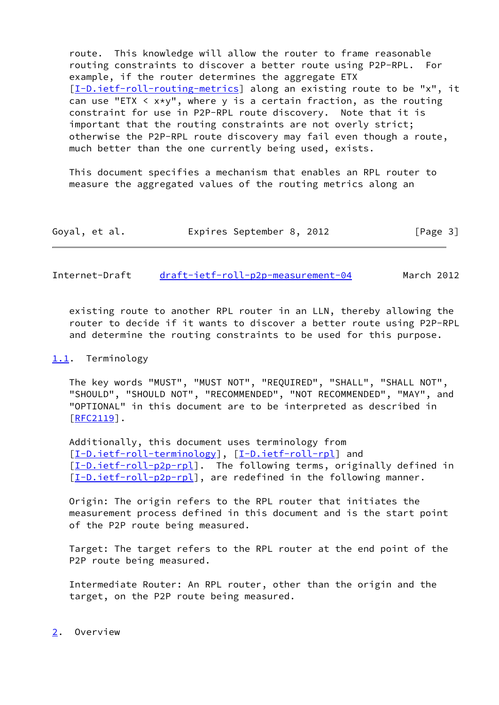route. This knowledge will allow the router to frame reasonable routing constraints to discover a better route using P2P-RPL. For example, if the router determines the aggregate ETX [\[I-D.ietf-roll-routing-metrics](#page-19-7)] along an existing route to be "x", it can use "ETX  $\leq x \times y$ ", where y is a certain fraction, as the routing constraint for use in P2P-RPL route discovery. Note that it is important that the routing constraints are not overly strict; otherwise the P2P-RPL route discovery may fail even though a route, much better than the one currently being used, exists.

 This document specifies a mechanism that enables an RPL router to measure the aggregated values of the routing metrics along an

| Goyal, et al. |  |  | Expires September 8, 2012 |  |  | [Page 3] |  |
|---------------|--|--|---------------------------|--|--|----------|--|
|---------------|--|--|---------------------------|--|--|----------|--|

<span id="page-3-1"></span>Internet-Draft [draft-ietf-roll-p2p-measurement-04](https://datatracker.ietf.org/doc/pdf/draft-ietf-roll-p2p-measurement-04) March 2012

 existing route to another RPL router in an LLN, thereby allowing the router to decide if it wants to discover a better route using P2P-RPL and determine the routing constraints to be used for this purpose.

#### <span id="page-3-0"></span>[1.1](#page-3-0). Terminology

 The key words "MUST", "MUST NOT", "REQUIRED", "SHALL", "SHALL NOT", "SHOULD", "SHOULD NOT", "RECOMMENDED", "NOT RECOMMENDED", "MAY", and "OPTIONAL" in this document are to be interpreted as described in [\[RFC2119](https://datatracker.ietf.org/doc/pdf/rfc2119)].

 Additionally, this document uses terminology from [\[I-D.ietf-roll-terminology](#page-20-1)], [\[I-D.ietf-roll-rpl\]](#page-19-5) and [\[I-D.ietf-roll-p2p-rpl](#page-19-6)]. The following terms, originally defined in [\[I-D.ietf-roll-p2p-rpl](#page-19-6)], are redefined in the following manner.

 Origin: The origin refers to the RPL router that initiates the measurement process defined in this document and is the start point of the P2P route being measured.

 Target: The target refers to the RPL router at the end point of the P2P route being measured.

 Intermediate Router: An RPL router, other than the origin and the target, on the P2P route being measured.

<span id="page-3-2"></span>[2](#page-3-2). Overview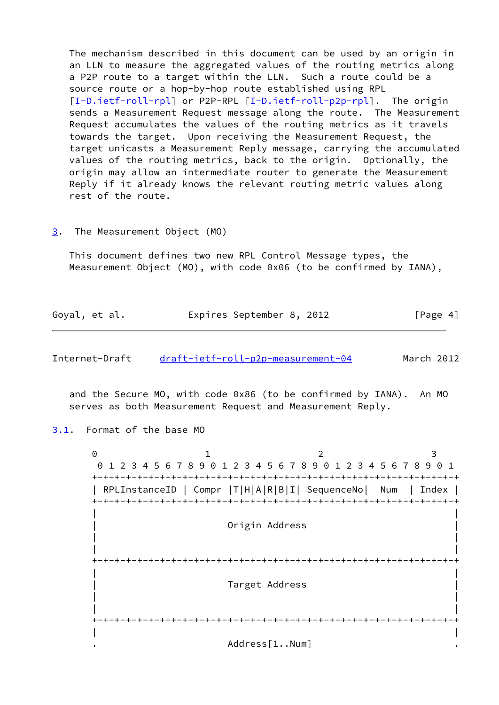The mechanism described in this document can be used by an origin in an LLN to measure the aggregated values of the routing metrics along a P2P route to a target within the LLN. Such a route could be a source route or a hop-by-hop route established using RPL [\[I-D.ietf-roll-rpl](#page-19-5)] or P2P-RPL [\[I-D.ietf-roll-p2p-rpl](#page-19-6)]. The origin sends a Measurement Request message along the route. The Measurement Request accumulates the values of the routing metrics as it travels towards the target. Upon receiving the Measurement Request, the target unicasts a Measurement Reply message, carrying the accumulated values of the routing metrics, back to the origin. Optionally, the origin may allow an intermediate router to generate the Measurement Reply if it already knows the relevant routing metric values along rest of the route.

#### <span id="page-4-0"></span>[3](#page-4-0). The Measurement Object (MO)

 This document defines two new RPL Control Message types, the Measurement Object (MO), with code 0x06 (to be confirmed by IANA),

|  | Goyal, et al. |  | Expires September 8, 2012 |  |  | [Page 4] |
|--|---------------|--|---------------------------|--|--|----------|
|--|---------------|--|---------------------------|--|--|----------|

<span id="page-4-2"></span>Internet-Draft [draft-ietf-roll-p2p-measurement-04](https://datatracker.ietf.org/doc/pdf/draft-ietf-roll-p2p-measurement-04) March 2012

 and the Secure MO, with code 0x86 (to be confirmed by IANA). An MO serves as both Measurement Request and Measurement Reply.

### <span id="page-4-1"></span>[3.1](#page-4-1). Format of the base MO

0 1 2 3 0 1 2 3 4 5 6 7 8 9 0 1 2 3 4 5 6 7 8 9 0 1 2 3 4 5 6 7 8 9 0 1 +-+-+-+-+-+-+-+-+-+-+-+-+-+-+-+-+-+-+-+-+-+-+-+-+-+-+-+-+-+-+-+-+ | RPLInstanceID | Compr |T|H|A|R|B|I| SequenceNo| Num | Index | +-+-+-+-+-+-+-+-+-+-+-+-+-+-+-+-+-+-+-+-+-+-+-+-+-+-+-+-+-+-+-+-+ | | Origin Address | | | | +-+-+-+-+-+-+-+-+-+-+-+-+-+-+-+-+-+-+-+-+-+-+-+-+-+-+-+-+-+-+-+-+ | | Target Address | | | | +-+-+-+-+-+-+-+-+-+-+-+-+-+-+-+-+-+-+-+-+-+-+-+-+-+-+-+-+-+-+-+-+ | | Address[1..Num]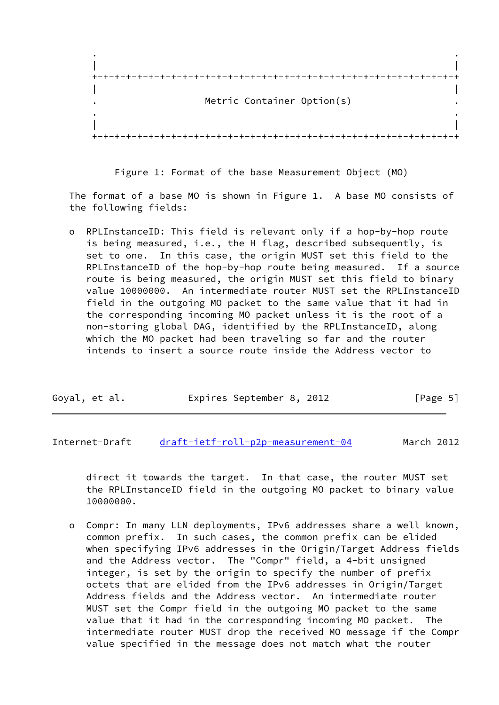

Figure 1: Format of the base Measurement Object (MO)

 The format of a base MO is shown in Figure 1. A base MO consists of the following fields:

 o RPLInstanceID: This field is relevant only if a hop-by-hop route is being measured, i.e., the H flag, described subsequently, is set to one. In this case, the origin MUST set this field to the RPLInstanceID of the hop-by-hop route being measured. If a source route is being measured, the origin MUST set this field to binary value 10000000. An intermediate router MUST set the RPLInstanceID field in the outgoing MO packet to the same value that it had in the corresponding incoming MO packet unless it is the root of a non-storing global DAG, identified by the RPLInstanceID, along which the MO packet had been traveling so far and the router intends to insert a source route inside the Address vector to

| Goyal, et al. | Expires September 8, 2012 |  | [Page 5] |
|---------------|---------------------------|--|----------|
|---------------|---------------------------|--|----------|

Internet-Draft [draft-ietf-roll-p2p-measurement-04](https://datatracker.ietf.org/doc/pdf/draft-ietf-roll-p2p-measurement-04) March 2012

 direct it towards the target. In that case, the router MUST set the RPLInstanceID field in the outgoing MO packet to binary value 10000000.

 o Compr: In many LLN deployments, IPv6 addresses share a well known, common prefix. In such cases, the common prefix can be elided when specifying IPv6 addresses in the Origin/Target Address fields and the Address vector. The "Compr" field, a 4-bit unsigned integer, is set by the origin to specify the number of prefix octets that are elided from the IPv6 addresses in Origin/Target Address fields and the Address vector. An intermediate router MUST set the Compr field in the outgoing MO packet to the same value that it had in the corresponding incoming MO packet. The intermediate router MUST drop the received MO message if the Compr value specified in the message does not match what the router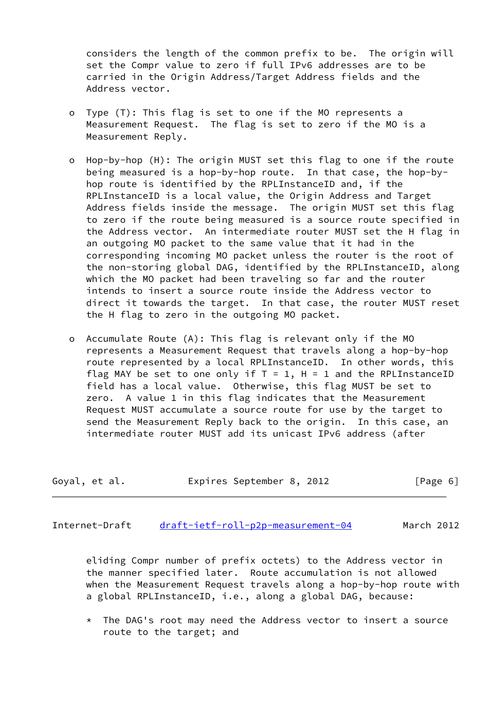considers the length of the common prefix to be. The origin will set the Compr value to zero if full IPv6 addresses are to be carried in the Origin Address/Target Address fields and the Address vector.

- o Type (T): This flag is set to one if the MO represents a Measurement Request. The flag is set to zero if the MO is a Measurement Reply.
- o Hop-by-hop (H): The origin MUST set this flag to one if the route being measured is a hop-by-hop route. In that case, the hop-by hop route is identified by the RPLInstanceID and, if the RPLInstanceID is a local value, the Origin Address and Target Address fields inside the message. The origin MUST set this flag to zero if the route being measured is a source route specified in the Address vector. An intermediate router MUST set the H flag in an outgoing MO packet to the same value that it had in the corresponding incoming MO packet unless the router is the root of the non-storing global DAG, identified by the RPLInstanceID, along which the MO packet had been traveling so far and the router intends to insert a source route inside the Address vector to direct it towards the target. In that case, the router MUST reset the H flag to zero in the outgoing MO packet.
- o Accumulate Route (A): This flag is relevant only if the MO represents a Measurement Request that travels along a hop-by-hop route represented by a local RPLInstanceID. In other words, this flag MAY be set to one only if  $T = 1$ ,  $H = 1$  and the RPLInstanceID field has a local value. Otherwise, this flag MUST be set to zero. A value 1 in this flag indicates that the Measurement Request MUST accumulate a source route for use by the target to send the Measurement Reply back to the origin. In this case, an intermediate router MUST add its unicast IPv6 address (after

| Goyal, et al. | Expires September 8, 2012 |  | [Page 6] |
|---------------|---------------------------|--|----------|
|---------------|---------------------------|--|----------|

Internet-Draft [draft-ietf-roll-p2p-measurement-04](https://datatracker.ietf.org/doc/pdf/draft-ietf-roll-p2p-measurement-04) March 2012

 eliding Compr number of prefix octets) to the Address vector in the manner specified later. Route accumulation is not allowed when the Measurement Request travels along a hop-by-hop route with a global RPLInstanceID, i.e., along a global DAG, because:

 \* The DAG's root may need the Address vector to insert a source route to the target; and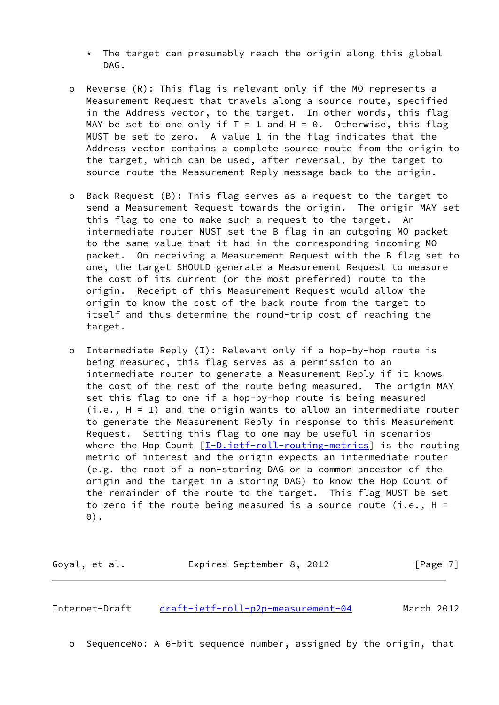- $*$  The target can presumably reach the origin along this global DAG.
- o Reverse (R): This flag is relevant only if the MO represents a Measurement Request that travels along a source route, specified in the Address vector, to the target. In other words, this flag MAY be set to one only if  $T = 1$  and  $H = 0$ . Otherwise, this flag MUST be set to zero. A value 1 in the flag indicates that the Address vector contains a complete source route from the origin to the target, which can be used, after reversal, by the target to source route the Measurement Reply message back to the origin.
- o Back Request (B): This flag serves as a request to the target to send a Measurement Request towards the origin. The origin MAY set this flag to one to make such a request to the target. An intermediate router MUST set the B flag in an outgoing MO packet to the same value that it had in the corresponding incoming MO packet. On receiving a Measurement Request with the B flag set to one, the target SHOULD generate a Measurement Request to measure the cost of its current (or the most preferred) route to the origin. Receipt of this Measurement Request would allow the origin to know the cost of the back route from the target to itself and thus determine the round-trip cost of reaching the target.
- o Intermediate Reply (I): Relevant only if a hop-by-hop route is being measured, this flag serves as a permission to an intermediate router to generate a Measurement Reply if it knows the cost of the rest of the route being measured. The origin MAY set this flag to one if a hop-by-hop route is being measured  $(i.e., H = 1)$  and the origin wants to allow an intermediate router to generate the Measurement Reply in response to this Measurement Request. Setting this flag to one may be useful in scenarios where the Hop Count  $[I-D.iett-roll-routine-metrics]$  is the routing metric of interest and the origin expects an intermediate router (e.g. the root of a non-storing DAG or a common ancestor of the origin and the target in a storing DAG) to know the Hop Count of the remainder of the route to the target. This flag MUST be set to zero if the route being measured is a source route (i.e.,  $H =$ 0).

Goyal, et al. **Expires September 8, 2012** [Page 7]

Internet-Draft [draft-ietf-roll-p2p-measurement-04](https://datatracker.ietf.org/doc/pdf/draft-ietf-roll-p2p-measurement-04) March 2012

o SequenceNo: A 6-bit sequence number, assigned by the origin, that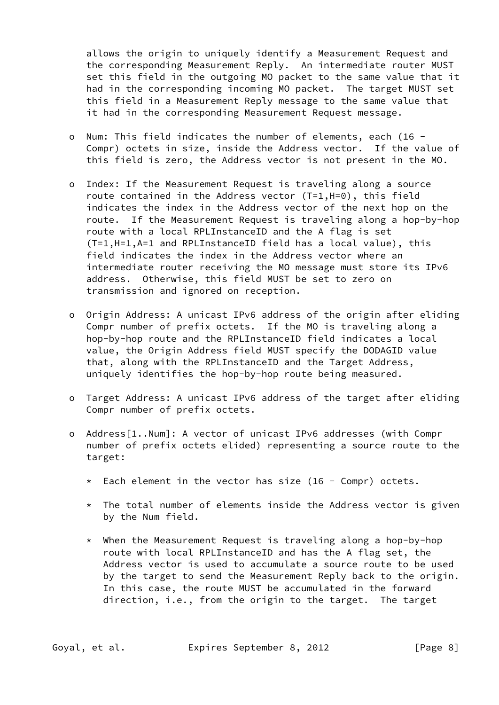allows the origin to uniquely identify a Measurement Request and the corresponding Measurement Reply. An intermediate router MUST set this field in the outgoing MO packet to the same value that it had in the corresponding incoming MO packet. The target MUST set this field in a Measurement Reply message to the same value that it had in the corresponding Measurement Request message.

- o Num: This field indicates the number of elements, each (16 Compr) octets in size, inside the Address vector. If the value of this field is zero, the Address vector is not present in the MO.
- o Index: If the Measurement Request is traveling along a source route contained in the Address vector (T=1,H=0), this field indicates the index in the Address vector of the next hop on the route. If the Measurement Request is traveling along a hop-by-hop route with a local RPLInstanceID and the A flag is set (T=1,H=1,A=1 and RPLInstanceID field has a local value), this field indicates the index in the Address vector where an intermediate router receiving the MO message must store its IPv6 address. Otherwise, this field MUST be set to zero on transmission and ignored on reception.
- o Origin Address: A unicast IPv6 address of the origin after eliding Compr number of prefix octets. If the MO is traveling along a hop-by-hop route and the RPLInstanceID field indicates a local value, the Origin Address field MUST specify the DODAGID value that, along with the RPLInstanceID and the Target Address, uniquely identifies the hop-by-hop route being measured.
- o Target Address: A unicast IPv6 address of the target after eliding Compr number of prefix octets.
- o Address[1..Num]: A vector of unicast IPv6 addresses (with Compr number of prefix octets elided) representing a source route to the target:
	- $*$  Each element in the vector has size (16 Compr) octets.
	- \* The total number of elements inside the Address vector is given by the Num field.
	- \* When the Measurement Request is traveling along a hop-by-hop route with local RPLInstanceID and has the A flag set, the Address vector is used to accumulate a source route to be used by the target to send the Measurement Reply back to the origin. In this case, the route MUST be accumulated in the forward direction, i.e., from the origin to the target. The target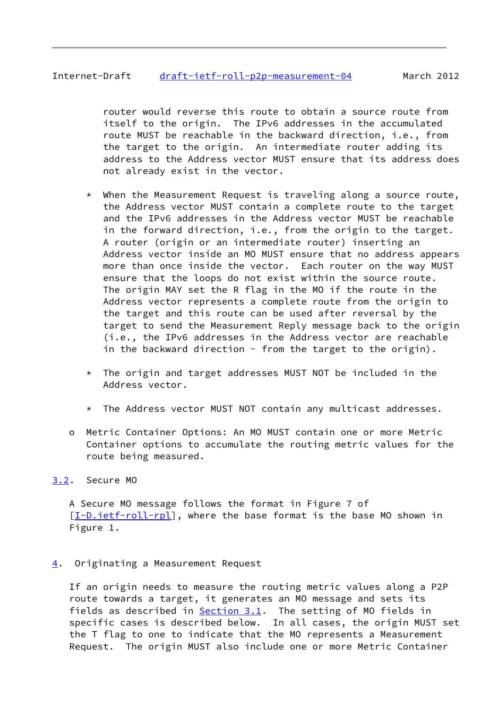# <span id="page-9-1"></span>Internet-Draft [draft-ietf-roll-p2p-measurement-04](https://datatracker.ietf.org/doc/pdf/draft-ietf-roll-p2p-measurement-04) March 2012

 router would reverse this route to obtain a source route from itself to the origin. The IPv6 addresses in the accumulated route MUST be reachable in the backward direction, i.e., from the target to the origin. An intermediate router adding its address to the Address vector MUST ensure that its address does not already exist in the vector.

- \* When the Measurement Request is traveling along a source route, the Address vector MUST contain a complete route to the target and the IPv6 addresses in the Address vector MUST be reachable in the forward direction, i.e., from the origin to the target. A router (origin or an intermediate router) inserting an Address vector inside an MO MUST ensure that no address appears more than once inside the vector. Each router on the way MUST ensure that the loops do not exist within the source route. The origin MAY set the R flag in the MO if the route in the Address vector represents a complete route from the origin to the target and this route can be used after reversal by the target to send the Measurement Reply message back to the origin (i.e., the IPv6 addresses in the Address vector are reachable in the backward direction - from the target to the origin).
- \* The origin and target addresses MUST NOT be included in the Address vector.
- \* The Address vector MUST NOT contain any multicast addresses.
- o Metric Container Options: An MO MUST contain one or more Metric Container options to accumulate the routing metric values for the route being measured.
- <span id="page-9-0"></span>[3.2](#page-9-0). Secure MO

 A Secure MO message follows the format in Figure 7 of [\[I-D.ietf-roll-rpl](#page-19-5)], where the base format is the base MO shown in Figure 1.

<span id="page-9-2"></span>[4](#page-9-2). Originating a Measurement Request

 If an origin needs to measure the routing metric values along a P2P route towards a target, it generates an MO message and sets its fields as described in  $Section 3.1$ . The setting of MO fields in specific cases is described below. In all cases, the origin MUST set the T flag to one to indicate that the MO represents a Measurement Request. The origin MUST also include one or more Metric Container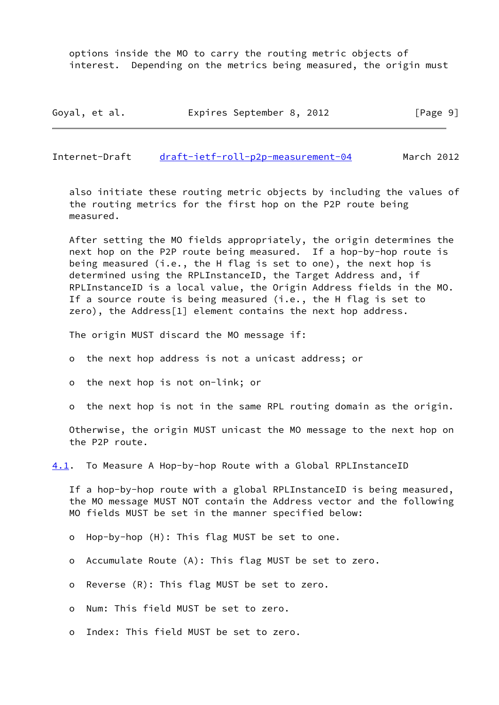options inside the MO to carry the routing metric objects of interest. Depending on the metrics being measured, the origin must

| Goyal, et al. | Expires September 8, 2012 |  | [Page 9] |
|---------------|---------------------------|--|----------|
|---------------|---------------------------|--|----------|

<span id="page-10-0"></span>Internet-Draft [draft-ietf-roll-p2p-measurement-04](https://datatracker.ietf.org/doc/pdf/draft-ietf-roll-p2p-measurement-04) March 2012

 also initiate these routing metric objects by including the values of the routing metrics for the first hop on the P2P route being measured.

 After setting the MO fields appropriately, the origin determines the next hop on the P2P route being measured. If a hop-by-hop route is being measured (i.e., the H flag is set to one), the next hop is determined using the RPLInstanceID, the Target Address and, if RPLInstanceID is a local value, the Origin Address fields in the MO. If a source route is being measured (i.e., the H flag is set to zero), the Address[1] element contains the next hop address.

The origin MUST discard the MO message if:

o the next hop address is not a unicast address; or

o the next hop is not on-link; or

o the next hop is not in the same RPL routing domain as the origin.

 Otherwise, the origin MUST unicast the MO message to the next hop on the P2P route.

<span id="page-10-1"></span>[4.1](#page-10-1). To Measure A Hop-by-hop Route with a Global RPLInstanceID

 If a hop-by-hop route with a global RPLInstanceID is being measured, the MO message MUST NOT contain the Address vector and the following MO fields MUST be set in the manner specified below:

o Hop-by-hop (H): This flag MUST be set to one.

- o Accumulate Route (A): This flag MUST be set to zero.
- o Reverse (R): This flag MUST be set to zero.

o Num: This field MUST be set to zero.

o Index: This field MUST be set to zero.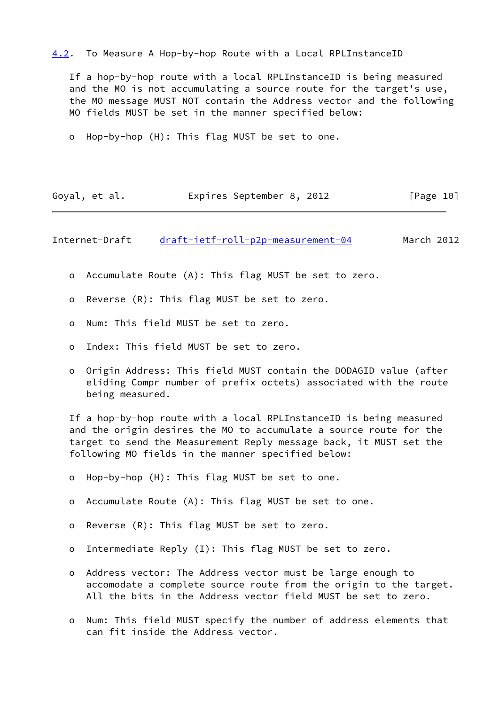### <span id="page-11-1"></span>[4.2](#page-11-1). To Measure A Hop-by-hop Route with a Local RPLInstanceID

 If a hop-by-hop route with a local RPLInstanceID is being measured and the MO is not accumulating a source route for the target's use, the MO message MUST NOT contain the Address vector and the following MO fields MUST be set in the manner specified below:

o Hop-by-hop (H): This flag MUST be set to one.

| Goyal, et al. | Expires September 8, 2012 |  | [Page 10] |
|---------------|---------------------------|--|-----------|
|---------------|---------------------------|--|-----------|

<span id="page-11-0"></span>Internet-Draft [draft-ietf-roll-p2p-measurement-04](https://datatracker.ietf.org/doc/pdf/draft-ietf-roll-p2p-measurement-04) March 2012

- o Accumulate Route (A): This flag MUST be set to zero.
- o Reverse (R): This flag MUST be set to zero.
- o Num: This field MUST be set to zero.
- o Index: This field MUST be set to zero.
- o Origin Address: This field MUST contain the DODAGID value (after eliding Compr number of prefix octets) associated with the route being measured.

 If a hop-by-hop route with a local RPLInstanceID is being measured and the origin desires the MO to accumulate a source route for the target to send the Measurement Reply message back, it MUST set the following MO fields in the manner specified below:

- o Hop-by-hop (H): This flag MUST be set to one.
- o Accumulate Route (A): This flag MUST be set to one.
- o Reverse (R): This flag MUST be set to zero.
- o Intermediate Reply (I): This flag MUST be set to zero.
- o Address vector: The Address vector must be large enough to accomodate a complete source route from the origin to the target. All the bits in the Address vector field MUST be set to zero.
- o Num: This field MUST specify the number of address elements that can fit inside the Address vector.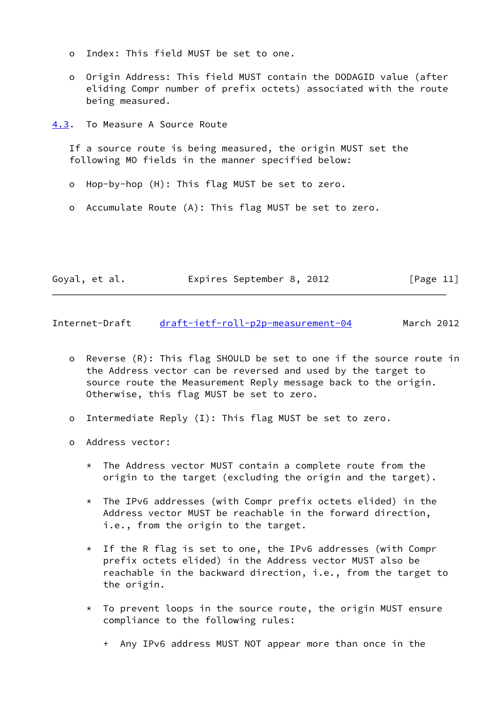- o Index: This field MUST be set to one.
- o Origin Address: This field MUST contain the DODAGID value (after eliding Compr number of prefix octets) associated with the route being measured.

<span id="page-12-0"></span>[4.3](#page-12-0). To Measure A Source Route

 If a source route is being measured, the origin MUST set the following MO fields in the manner specified below:

- o Hop-by-hop (H): This flag MUST be set to zero.
- o Accumulate Route (A): This flag MUST be set to zero.

| Goyal, et al. |  | Expires September 8, 2012 |  | [Page 11] |  |
|---------------|--|---------------------------|--|-----------|--|
|               |  |                           |  |           |  |

<span id="page-12-1"></span>Internet-Draft [draft-ietf-roll-p2p-measurement-04](https://datatracker.ietf.org/doc/pdf/draft-ietf-roll-p2p-measurement-04) March 2012

- o Reverse (R): This flag SHOULD be set to one if the source route in the Address vector can be reversed and used by the target to source route the Measurement Reply message back to the origin. Otherwise, this flag MUST be set to zero.
- o Intermediate Reply (I): This flag MUST be set to zero.
- o Address vector:
	- \* The Address vector MUST contain a complete route from the origin to the target (excluding the origin and the target).
	- \* The IPv6 addresses (with Compr prefix octets elided) in the Address vector MUST be reachable in the forward direction, i.e., from the origin to the target.
	- \* If the R flag is set to one, the IPv6 addresses (with Compr prefix octets elided) in the Address vector MUST also be reachable in the backward direction, i.e., from the target to the origin.
	- $*$  To prevent loops in the source route, the origin MUST ensure compliance to the following rules:
		- + Any IPv6 address MUST NOT appear more than once in the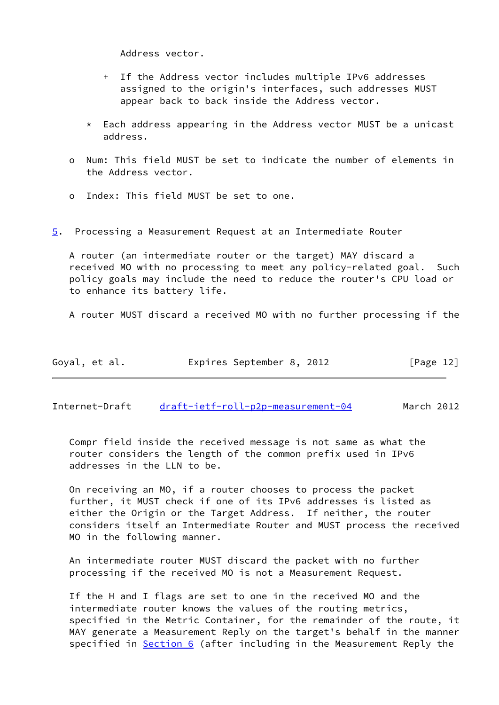Address vector.

- + If the Address vector includes multiple IPv6 addresses assigned to the origin's interfaces, such addresses MUST appear back to back inside the Address vector.
- \* Each address appearing in the Address vector MUST be a unicast address.
- o Num: This field MUST be set to indicate the number of elements in the Address vector.
- o Index: This field MUST be set to one.
- <span id="page-13-0"></span>[5](#page-13-0). Processing a Measurement Request at an Intermediate Router

 A router (an intermediate router or the target) MAY discard a received MO with no processing to meet any policy-related goal. Such policy goals may include the need to reduce the router's CPU load or to enhance its battery life.

A router MUST discard a received MO with no further processing if the

| Goyal, et al. | Expires September 8, 2012 |  | [Page 12] |
|---------------|---------------------------|--|-----------|
|---------------|---------------------------|--|-----------|

Internet-Draft [draft-ietf-roll-p2p-measurement-04](https://datatracker.ietf.org/doc/pdf/draft-ietf-roll-p2p-measurement-04) March 2012

 Compr field inside the received message is not same as what the router considers the length of the common prefix used in IPv6 addresses in the LLN to be.

 On receiving an MO, if a router chooses to process the packet further, it MUST check if one of its IPv6 addresses is listed as either the Origin or the Target Address. If neither, the router considers itself an Intermediate Router and MUST process the received MO in the following manner.

 An intermediate router MUST discard the packet with no further processing if the received MO is not a Measurement Request.

 If the H and I flags are set to one in the received MO and the intermediate router knows the values of the routing metrics, specified in the Metric Container, for the remainder of the route, it MAY generate a Measurement Reply on the target's behalf in the manner specified in **Section 6** (after including in the Measurement Reply the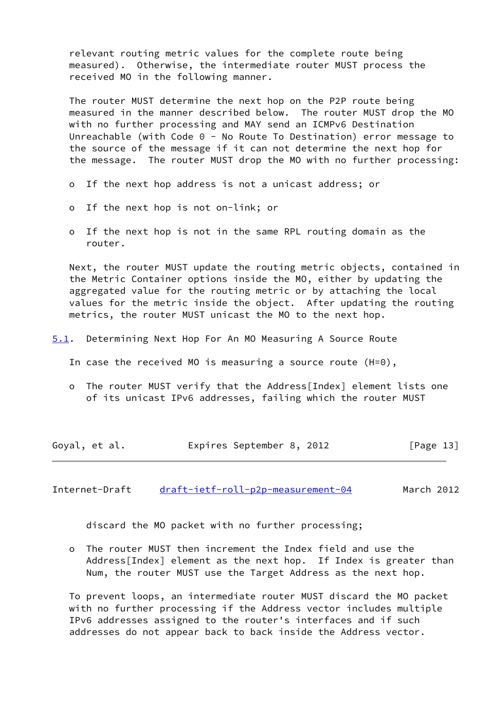relevant routing metric values for the complete route being measured). Otherwise, the intermediate router MUST process the received MO in the following manner.

 The router MUST determine the next hop on the P2P route being measured in the manner described below. The router MUST drop the MO with no further processing and MAY send an ICMPv6 Destination Unreachable (with Code 0 - No Route To Destination) error message to the source of the message if it can not determine the next hop for the message. The router MUST drop the MO with no further processing:

- o If the next hop address is not a unicast address; or
- o If the next hop is not on-link; or
- o If the next hop is not in the same RPL routing domain as the router.

 Next, the router MUST update the routing metric objects, contained in the Metric Container options inside the MO, either by updating the aggregated value for the routing metric or by attaching the local values for the metric inside the object. After updating the routing metrics, the router MUST unicast the MO to the next hop.

- <span id="page-14-1"></span>[5.1](#page-14-1). Determining Next Hop For An MO Measuring A Source Route
	- In case the received MO is measuring a source route (H=0),
	- o The router MUST verify that the Address[Index] element lists one of its unicast IPv6 addresses, failing which the router MUST

| Goyal, et al. | Expires September 8, 2012 | [Page 13] |
|---------------|---------------------------|-----------|
|---------------|---------------------------|-----------|

<span id="page-14-0"></span>Internet-Draft [draft-ietf-roll-p2p-measurement-04](https://datatracker.ietf.org/doc/pdf/draft-ietf-roll-p2p-measurement-04) March 2012

discard the MO packet with no further processing;

 o The router MUST then increment the Index field and use the Address[Index] element as the next hop. If Index is greater than Num, the router MUST use the Target Address as the next hop.

 To prevent loops, an intermediate router MUST discard the MO packet with no further processing if the Address vector includes multiple IPv6 addresses assigned to the router's interfaces and if such addresses do not appear back to back inside the Address vector.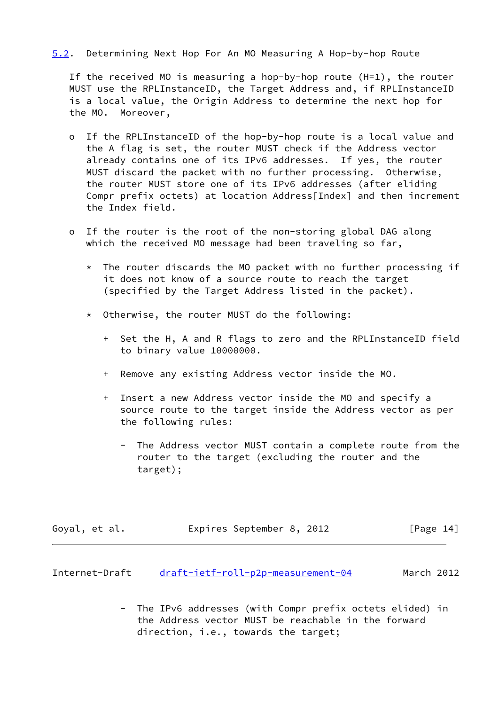## <span id="page-15-1"></span>[5.2](#page-15-1). Determining Next Hop For An MO Measuring A Hop-by-hop Route

 If the received MO is measuring a hop-by-hop route (H=1), the router MUST use the RPLInstanceID, the Target Address and, if RPLInstanceID is a local value, the Origin Address to determine the next hop for the MO. Moreover,

- o If the RPLInstanceID of the hop-by-hop route is a local value and the A flag is set, the router MUST check if the Address vector already contains one of its IPv6 addresses. If yes, the router MUST discard the packet with no further processing. Otherwise, the router MUST store one of its IPv6 addresses (after eliding Compr prefix octets) at location Address[Index] and then increment the Index field.
- o If the router is the root of the non-storing global DAG along which the received MO message had been traveling so far,
	- $*$  The router discards the MO packet with no further processing if it does not know of a source route to reach the target (specified by the Target Address listed in the packet).
	- \* Otherwise, the router MUST do the following:
		- + Set the H, A and R flags to zero and the RPLInstanceID field to binary value 10000000.
		- + Remove any existing Address vector inside the MO.
		- + Insert a new Address vector inside the MO and specify a source route to the target inside the Address vector as per the following rules:
			- The Address vector MUST contain a complete route from the router to the target (excluding the router and the target);

| Goyal, et al. | Expires September 8, 2012 |  | [Page 14] |
|---------------|---------------------------|--|-----------|
|---------------|---------------------------|--|-----------|

<span id="page-15-0"></span>

| Internet-Draft | draft-ietf-roll-p2p-measurement-04 | March 2012 |
|----------------|------------------------------------|------------|
|                |                                    |            |

 - The IPv6 addresses (with Compr prefix octets elided) in the Address vector MUST be reachable in the forward direction, i.e., towards the target;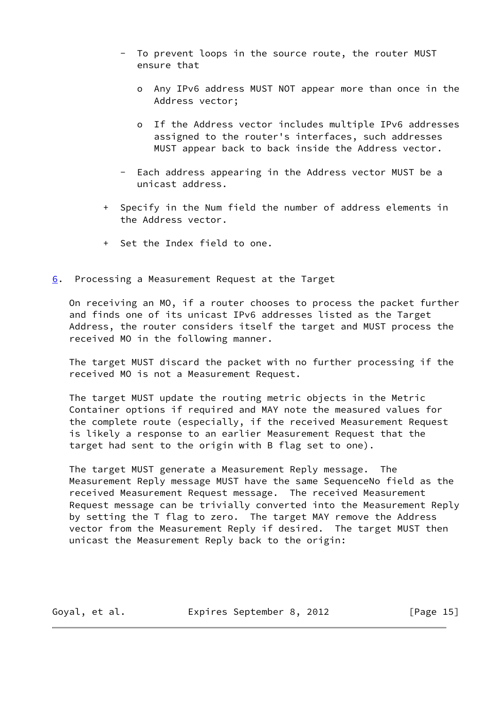- To prevent loops in the source route, the router MUST ensure that
	- o Any IPv6 address MUST NOT appear more than once in the Address vector;
	- o If the Address vector includes multiple IPv6 addresses assigned to the router's interfaces, such addresses MUST appear back to back inside the Address vector.
- Each address appearing in the Address vector MUST be a unicast address.
- + Specify in the Num field the number of address elements in the Address vector.
- + Set the Index field to one.
- <span id="page-16-0"></span>[6](#page-16-0). Processing a Measurement Request at the Target

 On receiving an MO, if a router chooses to process the packet further and finds one of its unicast IPv6 addresses listed as the Target Address, the router considers itself the target and MUST process the received MO in the following manner.

 The target MUST discard the packet with no further processing if the received MO is not a Measurement Request.

 The target MUST update the routing metric objects in the Metric Container options if required and MAY note the measured values for the complete route (especially, if the received Measurement Request is likely a response to an earlier Measurement Request that the target had sent to the origin with B flag set to one).

 The target MUST generate a Measurement Reply message. The Measurement Reply message MUST have the same SequenceNo field as the received Measurement Request message. The received Measurement Request message can be trivially converted into the Measurement Reply by setting the T flag to zero. The target MAY remove the Address vector from the Measurement Reply if desired. The target MUST then unicast the Measurement Reply back to the origin:

Goyal, et al. **Expires September 8, 2012** [Page 15]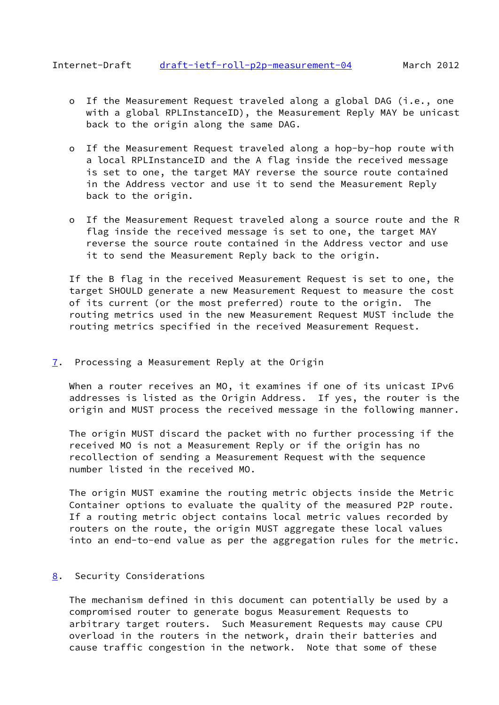- <span id="page-17-1"></span> o If the Measurement Request traveled along a global DAG (i.e., one with a global RPLInstanceID), the Measurement Reply MAY be unicast back to the origin along the same DAG.
- o If the Measurement Request traveled along a hop-by-hop route with a local RPLInstanceID and the A flag inside the received message is set to one, the target MAY reverse the source route contained in the Address vector and use it to send the Measurement Reply back to the origin.
- o If the Measurement Request traveled along a source route and the R flag inside the received message is set to one, the target MAY reverse the source route contained in the Address vector and use it to send the Measurement Reply back to the origin.

 If the B flag in the received Measurement Request is set to one, the target SHOULD generate a new Measurement Request to measure the cost of its current (or the most preferred) route to the origin. The routing metrics used in the new Measurement Request MUST include the routing metrics specified in the received Measurement Request.

<span id="page-17-0"></span>[7](#page-17-0). Processing a Measurement Reply at the Origin

When a router receives an MO, it examines if one of its unicast IPv6 addresses is listed as the Origin Address. If yes, the router is the origin and MUST process the received message in the following manner.

 The origin MUST discard the packet with no further processing if the received MO is not a Measurement Reply or if the origin has no recollection of sending a Measurement Request with the sequence number listed in the received MO.

 The origin MUST examine the routing metric objects inside the Metric Container options to evaluate the quality of the measured P2P route. If a routing metric object contains local metric values recorded by routers on the route, the origin MUST aggregate these local values into an end-to-end value as per the aggregation rules for the metric.

## <span id="page-17-2"></span>[8](#page-17-2). Security Considerations

 The mechanism defined in this document can potentially be used by a compromised router to generate bogus Measurement Requests to arbitrary target routers. Such Measurement Requests may cause CPU overload in the routers in the network, drain their batteries and cause traffic congestion in the network. Note that some of these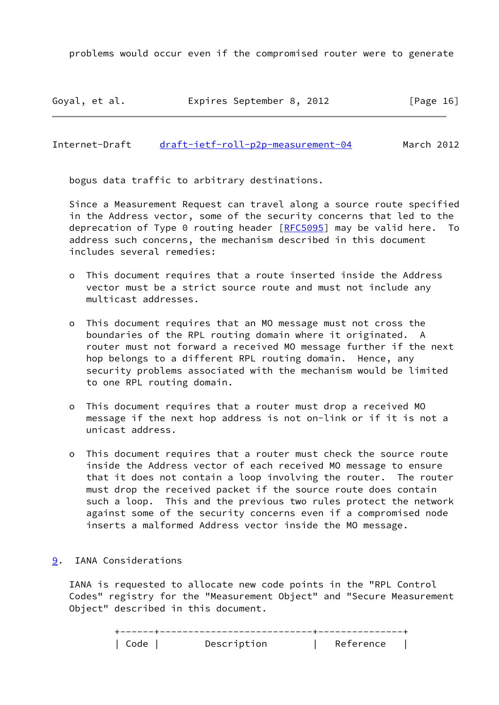problems would occur even if the compromised router were to generate

Goyal, et al. Expires September 8, 2012 [Page 16]

<span id="page-18-1"></span>Internet-Draft [draft-ietf-roll-p2p-measurement-04](https://datatracker.ietf.org/doc/pdf/draft-ietf-roll-p2p-measurement-04) March 2012

bogus data traffic to arbitrary destinations.

 Since a Measurement Request can travel along a source route specified in the Address vector, some of the security concerns that led to the deprecation of Type 0 routing header  $[RECS095]$  may be valid here. To address such concerns, the mechanism described in this document includes several remedies:

- o This document requires that a route inserted inside the Address vector must be a strict source route and must not include any multicast addresses.
- o This document requires that an MO message must not cross the boundaries of the RPL routing domain where it originated. A router must not forward a received MO message further if the next hop belongs to a different RPL routing domain. Hence, any security problems associated with the mechanism would be limited to one RPL routing domain.
- o This document requires that a router must drop a received MO message if the next hop address is not on-link or if it is not a unicast address.
- o This document requires that a router must check the source route inside the Address vector of each received MO message to ensure that it does not contain a loop involving the router. The router must drop the received packet if the source route does contain such a loop. This and the previous two rules protect the network against some of the security concerns even if a compromised node inserts a malformed Address vector inside the MO message.

## <span id="page-18-0"></span>[9](#page-18-0). IANA Considerations

 IANA is requested to allocate new code points in the "RPL Control Codes" registry for the "Measurement Object" and "Secure Measurement Object" described in this document.

|  | Descrintion | <b>RETELENCE</b> |  |
|--|-------------|------------------|--|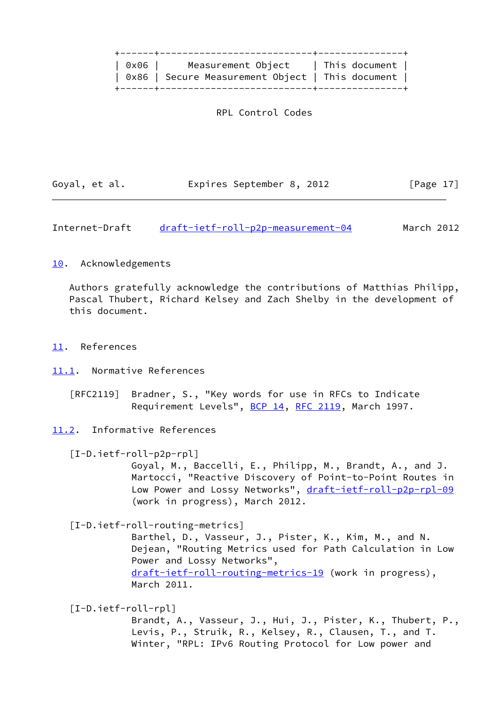| 0x06   Measurement Object   This document        |  |  |
|--------------------------------------------------|--|--|
| 0x86   Secure Measurement Object   This document |  |  |
|                                                  |  |  |

RPL Control Codes

| Goyal, et al. | Expires September 8, 2012 |  | [Page 17] |
|---------------|---------------------------|--|-----------|
|---------------|---------------------------|--|-----------|

<span id="page-19-1"></span>Internet-Draft [draft-ietf-roll-p2p-measurement-04](https://datatracker.ietf.org/doc/pdf/draft-ietf-roll-p2p-measurement-04) March 2012

## <span id="page-19-0"></span>[10.](#page-19-0) Acknowledgements

 Authors gratefully acknowledge the contributions of Matthias Philipp, Pascal Thubert, Richard Kelsey and Zach Shelby in the development of this document.

- <span id="page-19-2"></span>[11.](#page-19-2) References
- <span id="page-19-3"></span>[11.1](#page-19-3). Normative References

 [RFC2119] Bradner, S., "Key words for use in RFCs to Indicate Requirement Levels", [BCP 14](https://datatracker.ietf.org/doc/pdf/bcp14), [RFC 2119](https://datatracker.ietf.org/doc/pdf/rfc2119), March 1997.

<span id="page-19-4"></span>[11.2](#page-19-4). Informative References

<span id="page-19-6"></span>[I-D.ietf-roll-p2p-rpl]

 Goyal, M., Baccelli, E., Philipp, M., Brandt, A., and J. Martocci, "Reactive Discovery of Point-to-Point Routes in Low Power and Lossy Networks", [draft-ietf-roll-p2p-rpl-09](https://datatracker.ietf.org/doc/pdf/draft-ietf-roll-p2p-rpl-09) (work in progress), March 2012.

<span id="page-19-7"></span>[I-D.ietf-roll-routing-metrics]

 Barthel, D., Vasseur, J., Pister, K., Kim, M., and N. Dejean, "Routing Metrics used for Path Calculation in Low Power and Lossy Networks", [draft-ietf-roll-routing-metrics-19](https://datatracker.ietf.org/doc/pdf/draft-ietf-roll-routing-metrics-19) (work in progress), March 2011.

<span id="page-19-5"></span>[I-D.ietf-roll-rpl]

 Brandt, A., Vasseur, J., Hui, J., Pister, K., Thubert, P., Levis, P., Struik, R., Kelsey, R., Clausen, T., and T. Winter, "RPL: IPv6 Routing Protocol for Low power and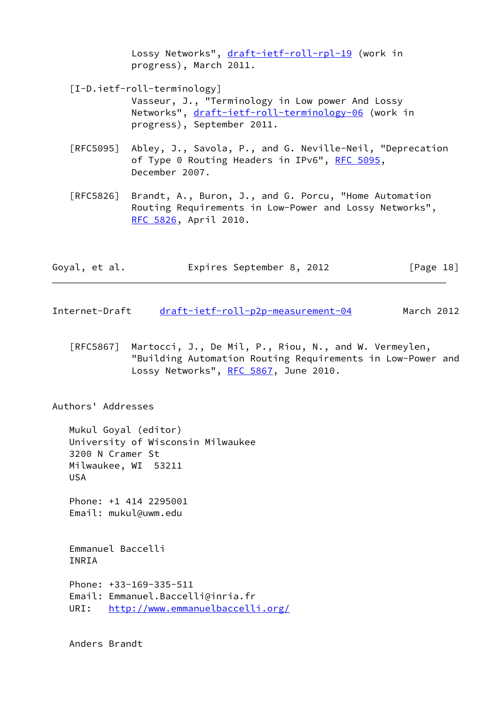Lossy Networks", [draft-ietf-roll-rpl-19](https://datatracker.ietf.org/doc/pdf/draft-ietf-roll-rpl-19) (work in progress), March 2011.

<span id="page-20-1"></span>[I-D.ietf-roll-terminology]

 Vasseur, J., "Terminology in Low power And Lossy Networks", [draft-ietf-roll-terminology-06](https://datatracker.ietf.org/doc/pdf/draft-ietf-roll-terminology-06) (work in progress), September 2011.

- [RFC5095] Abley, J., Savola, P., and G. Neville-Neil, "Deprecation of Type 0 Routing Headers in IPv6", [RFC 5095,](https://datatracker.ietf.org/doc/pdf/rfc5095) December 2007.
- [RFC5826] Brandt, A., Buron, J., and G. Porcu, "Home Automation Routing Requirements in Low-Power and Lossy Networks", [RFC 5826,](https://datatracker.ietf.org/doc/pdf/rfc5826) April 2010.

| Goyal, et al. | Expires September 8, 2012 |  | [Page 18] |
|---------------|---------------------------|--|-----------|
|---------------|---------------------------|--|-----------|

- <span id="page-20-0"></span>Internet-Draft [draft-ietf-roll-p2p-measurement-04](https://datatracker.ietf.org/doc/pdf/draft-ietf-roll-p2p-measurement-04) March 2012
	- [RFC5867] Martocci, J., De Mil, P., Riou, N., and W. Vermeylen, "Building Automation Routing Requirements in Low-Power and Lossy Networks", [RFC 5867,](https://datatracker.ietf.org/doc/pdf/rfc5867) June 2010.

Authors' Addresses

 Mukul Goyal (editor) University of Wisconsin Milwaukee 3200 N Cramer St Milwaukee, WI 53211 USA

 Phone: +1 414 2295001 Email: mukul@uwm.edu

 Emmanuel Baccelli INRIA

 Phone: +33-169-335-511 Email: Emmanuel.Baccelli@inria.fr URI: <http://www.emmanuelbaccelli.org/>

Anders Brandt